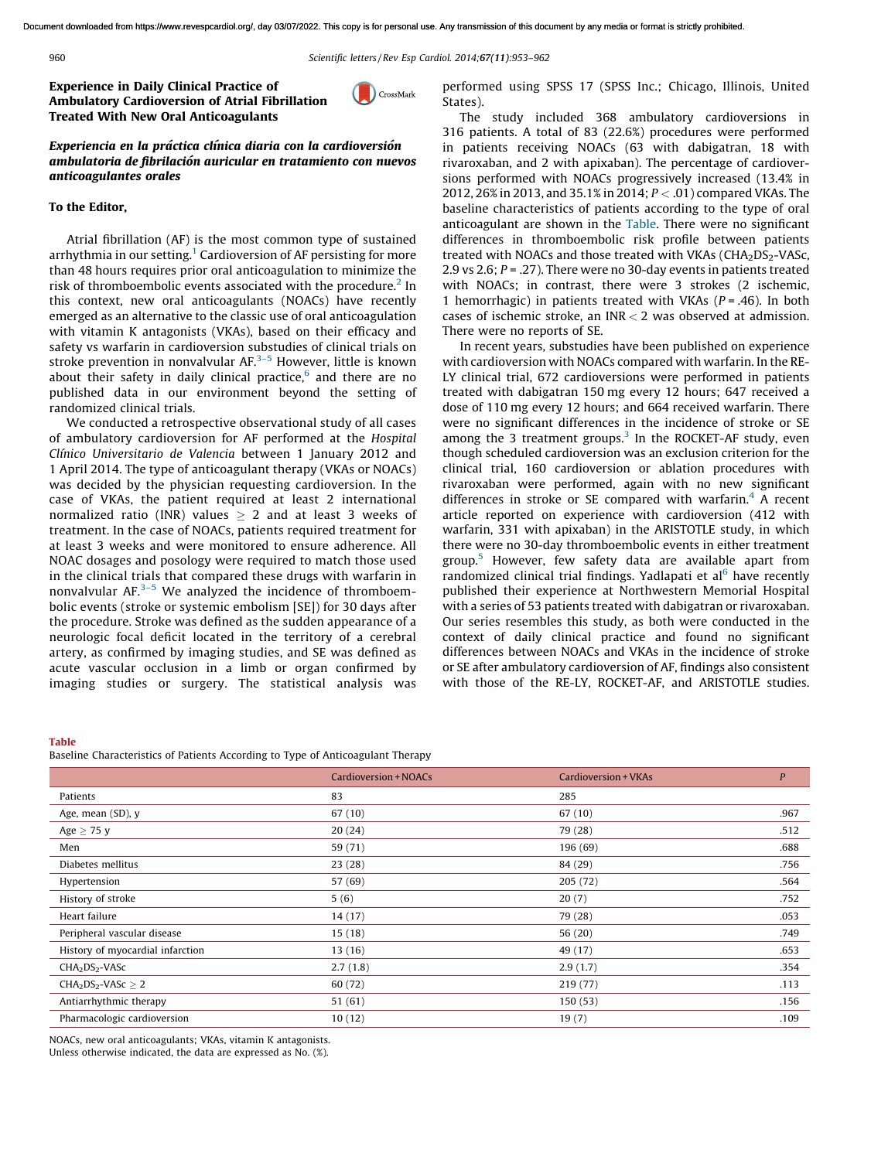<span id="page-0-0"></span>960 *Scientific letters / Rev Esp [Cardiol.](http://dx.doi.org/10.1016/j.rec.2014.04.014) 2014;*67(11)*:953–962*

Experience in Daily Clinical Practice of Ambulatory Cardioversion of Atrial Fibrillation Treated With New Oral Anticoagulants

CrossMark

Experiencia en la práctica clínica diaria con la cardioversión ambulatoria de fibrilación auricular en tratamiento con nuevos anticoagulantes orales

## To the Editor,

Atrial fibrillation (AF) is the most common type of sustained arrhythmia in our setting.<sup>[1](#page-1-0)</sup> Cardioversion of AF persisting for more than 48 hours r[equires](mailto:mtelarr@gmail.com) prior oral anticoagulation to minimize the risk of thromboembolic events associated with the procedure.<sup>[2](#page-1-0)</sup> In this context, new oral anticoagulants (NOACs) have recently emerged as an alternative to the classic use of oral anticoagulation with vitamin K antagonists (VKAs), based on their efficacy and safety vs warfarin in cardioversion substudies of clinical trials on stroke prevention in [nonvalvular](http://refhub.elsevier.com/S1885-5857(14)00303-X/sbref0005) AF.[3–5](#page-1-0) However, little is known about their safety in daily clinical [practice,](http://refhub.elsevier.com/S1885-5857(14)00303-X/sbref0005) $6$  and there are no published data in our environment beyond the setting of randomized clinical trials.

We conducted a retrospective observational study of all cases of ambulatory cardioversion for AF performed at the *[Hospital](http://crossmark.crossref.org/dialog/?doi=10.1016/j.rec.2014.06.012&domain=pdf) Clı´nico Universitario de Valencia* between 1 January 2012 and 1 April 2014. The type of anticoagulant therapy (VKAs or NOACs) was decided by the physician requesting cardioversion. In the case of VKAs, the patient required at least 2 international normalized ratio (INR) values  $\geq$  2 and at least 3 weeks of treatment. In the case of NOACs, patients required treatment for at least 3 weeks and were monitored to ensure adherence. All NOAC dosages and posology were required to match those used in the clinical trials that compared these drugs with warfarin in nonvalvular  $AF<sup>3-5</sup>$  We analyzed the incidence of thromboembolic events (stroke or systemic embolism [SE]) for 30 days after the procedure. Stroke was defined as the sudden appearance of a neurologic focal deficit located in the territory of a cerebral artery, as confirmed by imaging studies, and SE was defined as acute vascular occlusion in a limb or organ confirmed by imaging studies or [surgery.](mailto:ejgarcia1@telefonica.net) The statistical analysis was p[erformed](http://refhub.elsevier.com/S1885-5857(14)00303-X/sbref0005) using SPSS 17 (SPSS Inc.; Chicago, Illinois, United St[ates\).](http://refhub.elsevier.com/S1885-5857(14)00303-X/sbref0005)

The study included 368 ambulatory [cardioversions](http://refhub.elsevier.com/S1885-5857(14)00303-X/sbref0010) in 316 patients. A total of 83 (22.6%) [procedures](http://refhub.elsevier.com/S1885-5857(14)00303-X/sbref0010) were performed in [patients](http://refhub.elsevier.com/S1885-5857(14)00303-X/sbref0010) receiving NOACs (63 with [dabigatran,](http://refhub.elsevier.com/S1885-5857(14)00303-X/sbref0010) 18 with rivaroxaban, and 2 with apixaban). The [percentage](http://refhub.elsevier.com/S1885-5857(14)00303-X/sbref0015) of cardioversions performed with NOACs [progressively](http://refhub.elsevier.com/S1885-5857(14)00303-X/sbref0015) increased (13.4% in 2012, 26% in 2013, and 35.1% in 2014; *P* < .01) [compared](http://refhub.elsevier.com/S1885-5857(14)00303-X/sbref0015) VKAs. The baseline [characteristics](http://refhub.elsevier.com/S1885-5857(14)00303-X/sbref0020) of patients [according](mailto:rhernandez_antolin@hotmail.com) to the type of oral a[nticoagulant](http://refhub.elsevier.com/S1885-5857(14)00303-X/sbref0020) are shown in the Table. There were no significant differences in [thromboembolic](http://refhub.elsevier.com/S1885-5857(14)00303-X/sbref0020) risk profile between patients treated with [NOACs](http://refhub.elsevier.com/S1885-5857(14)00303-X/sbref0025) and those treated with VKAs ( $CHA<sub>2</sub>DS<sub>2</sub>$ -VASc, 2.9 vs 2.6; *P* = .27). There were no 30-day events in patients treated with NOACs; in contrast, there were 3 strokes (2 ischemic, 1 hemorrhagic) in patients treated with VKAs (*P* = .46). In both cases of ischemic stroke, an INR  $<$  2 was observed at [admission.](http://refhub.elsevier.com/S1885-5857(14)00300-4/sbref0005) There were no [reports](http://refhub.elsevier.com/S1885-5857(14)00300-4/sbref0005) of SE.

In recent years, substudies have been published on [experience](http://refhub.elsevier.com/S1885-5857(14)00300-4/sbref0010) with [cardioversion](http://refhub.elsevier.com/S1885-5857(14)00300-4/sbref0010) with NOACs compared with warfarin. In the RE-LY clinical trial, 672 [cardioversions](http://refhub.elsevier.com/S1885-5857(14)00300-4/sbref0015) were performed in patients treated with [dabigatran](http://refhub.elsevier.com/S1885-5857(14)00300-4/sbref0015) 150 mg every 12 hours; 647 received a dose of 110 mg [every](http://refhub.elsevier.com/S1885-5857(14)00300-4/sbref0015) 12 hours; and 664 received [warfarin.](http://refhub.elsevier.com/S1885-5857(14)00300-4/sbref0015) There were no significant [differences](http://refhub.elsevier.com/S1885-5857(14)00300-4/sbref0020) in the incidence of stroke or SE among the [3](#page-1-0) treatment groups. $3$  In the [ROCKET-AF](http://refhub.elsevier.com/S1885-5857(14)00300-4/sbref0020) study, even though scheduled [cardioversion](http://refhub.elsevier.com/S1885-5857(14)00300-4/sbref0020) was an exclusion criterion for the clinical trial, 160 [cardioversion](http://refhub.elsevier.com/S1885-5857(14)00300-4/sbref0020) or ablation procedures with rivaroxaban were [performed,](http://refhub.elsevier.com/S1885-5857(14)00300-4/sbref0025) again with no new significant differences in stroke or SE [compared](http://refhub.elsevier.com/S1885-5857(14)00300-4/sbref0025) with warfarin.<sup>[4](#page-1-0)</sup> A recent article reported on [experience](http://refhub.elsevier.com/S1885-5857(14)00300-4/sbref0025) with [cardioversion](http://refhub.elsevier.com/S1885-5857(14)00300-4/sbref0030) (412 with warfarin, 331 with apixaban) in the [ARISTOTLE](http://refhub.elsevier.com/S1885-5857(14)00300-4/sbref0030) study, in which there were no 30-day [thromboembolic](http://refhub.elsevier.com/S1885-5857(14)00300-4/sbref0030) events in either treatment group.[5](#page-1-0) [Howeve](http://refhub.elsevier.com/S1885-5857(14)00300-4/sbref0030)r, few safety data are available apart from ra[ndomized](http://refhub.elsevier.com/S1885-5857(14)00277-1/sbref0015) clinical trial [findings.](http://dx.doi.org/10.1002/ccd.25417) Yadlapati et al<sup>[6](#page-1-0)</sup> have recently published their experience at [Northwestern](http://refhub.elsevier.com/S1885-5857(14)00277-1/sbref0015) Memorial Hospital with a series of 53 patients treated with dabigatran or [rivaroxaban.](http://refhub.elsevier.com/S1885-5857(14)00277-1/sbref0015) Our series [resembles](http://dx.doi.org/10.1016/j.rec.2014.06.008) this study, as both were [conducted](http://refhub.elsevier.com/S1885-5857(14)00277-1/sbref0020) in the context of daily clinical practice and found no [significant](http://refhub.elsevier.com/S1885-5857(14)00277-1/sbref0020) di[fferences](http://refhub.elsevier.com/S1885-5857(14)00277-1/sbref0020) between NOACs and VKAs in the incidence of stroke or SE after ambulatory [cardioversion](http://refhub.elsevier.com/S1885-5857(14)00277-1/sbref0025) of AF, findings also consistent with those of the RE-LY, [ROCKET-AF,](http://refhub.elsevier.com/S1885-5857(14)00277-1/sbref0025) and ARISTOTLE studies.

## Table

Baseline Characteristics of Patients According to Type of Antic[oagulant](http://crossmark.crossref.org/dialog/?doi=10.1016/j.rec.2014.06.011&domain=pdf) Therapy

|                                        | Cardioversion + NOACs | Cardioversion + VKAs | $\boldsymbol{P}$ |
|----------------------------------------|-----------------------|----------------------|------------------|
| Patients                               | 83                    | 285                  |                  |
| Age, mean (SD), y                      | 67 (10)               | 67(10)               | .967             |
| Age $\geq$ 75 y                        | 20(24)                | 79 (28)              | .512             |
| Men                                    | 59 (71)               | 196 (69)             | .688             |
| Diabetes mellitus                      | 23(28)                | 84 (29)              | .756             |
| Hypertension                           | 57 (69)               | 205 (72)             | .564             |
| History of stroke                      | 5(6)                  | 20(7)                | .752             |
| Heart failure                          | 14(17)                | 79 (28)              | .053             |
| Peripheral vascular disease            | 15(18)                | 56 (20)              | .749             |
| History of myocardial infarction       | 13(16)                | 49 (17)              | .653             |
| CHA <sub>2</sub> DS <sub>2</sub> -VASc | 2.7(1.8)              | 2.9(1.7)             | .354             |
| $CHA2DS2-VASC \geq 2$                  | 60 (72)               | 219 (77)             | .113             |
| Antiarrhythmic therapy                 | 51(61)                | 150(53)              | .156             |
| Pharmacologic cardioversion            | 10(12)                | 19(7)                | .109             |

NOACs, new oral anticoagulants; VKAs, vitamin K antagonists. Unless otherwise indicated, the data are expressed as No. (%).